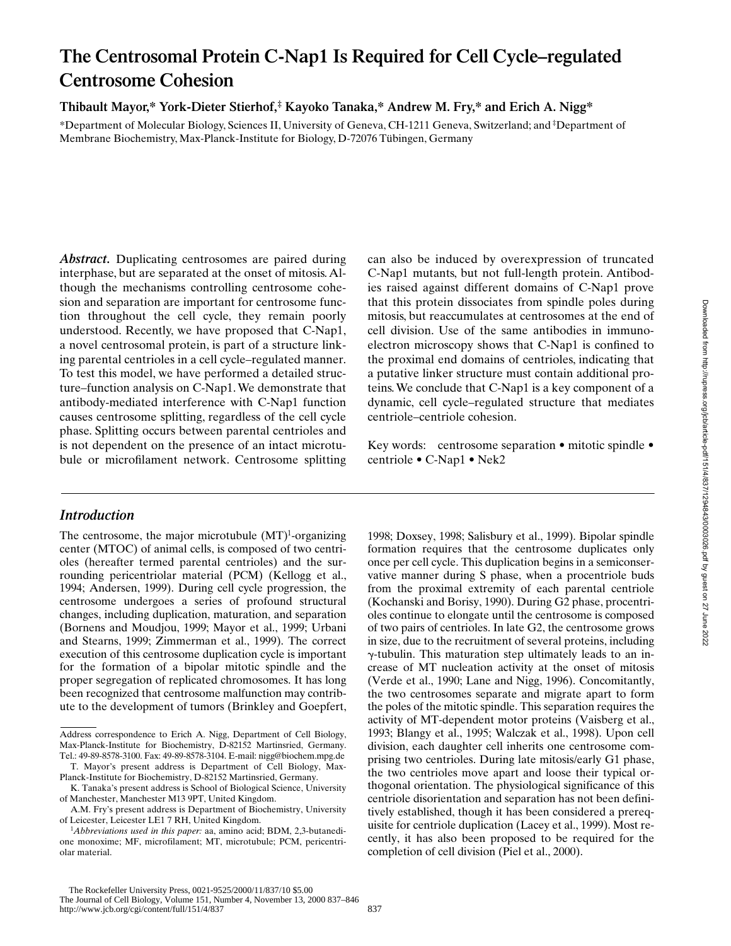# **The Centrosomal Protein C-Nap1 Is Required for Cell Cycle–regulated Centrosome Cohesion**

**Thibault Mayor,\* York-Dieter Stierhof,‡ Kayoko Tanaka,\* Andrew M. Fry,\* and Erich A. Nigg\***

\*Department of Molecular Biology, Sciences II, University of Geneva, CH-1211 Geneva, Switzerland; and ‡ Department of Membrane Biochemistry, Max-Planck-Institute for Biology, D-72076 Tübingen, Germany

*Abstract.* Duplicating centrosomes are paired during interphase, but are separated at the onset of mitosis. Although the mechanisms controlling centrosome cohesion and separation are important for centrosome function throughout the cell cycle, they remain poorly understood. Recently, we have proposed that C-Nap1, a novel centrosomal protein, is part of a structure linking parental centrioles in a cell cycle–regulated manner. To test this model, we have performed a detailed structure–function analysis on C-Nap1. We demonstrate that antibody-mediated interference with C-Nap1 function causes centrosome splitting, regardless of the cell cycle phase. Splitting occurs between parental centrioles and is not dependent on the presence of an intact microtubule or microfilament network. Centrosome splitting

# *Introduction*

The centrosome, the major microtubule  $(MT)^{1}$ -organizing center (MTOC) of animal cells, is composed of two centrioles (hereafter termed parental centrioles) and the surrounding pericentriolar material (PCM) (Kellogg et al., 1994; Andersen, 1999). During cell cycle progression, the centrosome undergoes a series of profound structural changes, including duplication, maturation, and separation (Bornens and Moudjou, 1999; Mayor et al., 1999; Urbani and Stearns, 1999; Zimmerman et al., 1999). The correct execution of this centrosome duplication cycle is important for the formation of a bipolar mitotic spindle and the proper segregation of replicated chromosomes. It has long been recognized that centrosome malfunction may contribute to the development of tumors (Brinkley and Goepfert, can also be induced by overexpression of truncated C-Nap1 mutants, but not full-length protein. Antibodies raised against different domains of C-Nap1 prove that this protein dissociates from spindle poles during mitosis, but reaccumulates at centrosomes at the end of cell division. Use of the same antibodies in immunoelectron microscopy shows that C-Nap1 is confined to the proximal end domains of centrioles, indicating that a putative linker structure must contain additional proteins. We conclude that C-Nap1 is a key component of a dynamic, cell cycle–regulated structure that mediates centriole–centriole cohesion.

Key words: centrosome separation • mitotic spindle • centriole • C-Nap1 • Nek2

1998; Doxsey, 1998; Salisbury et al., 1999). Bipolar spindle formation requires that the centrosome duplicates only once per cell cycle. This duplication begins in a semiconservative manner during S phase, when a procentriole buds from the proximal extremity of each parental centriole (Kochanski and Borisy, 1990). During G2 phase, procentrioles continue to elongate until the centrosome is composed of two pairs of centrioles. In late G2, the centrosome grows in size, due to the recruitment of several proteins, including  $\gamma$ -tubulin. This maturation step ultimately leads to an increase of MT nucleation activity at the onset of mitosis (Verde et al., 1990; Lane and Nigg, 1996). Concomitantly, the two centrosomes separate and migrate apart to form the poles of the mitotic spindle. This separation requires the activity of MT-dependent motor proteins (Vaisberg et al., 1993; Blangy et al., 1995; Walczak et al., 1998). Upon cell division, each daughter cell inherits one centrosome comprising two centrioles. During late mitosis/early G1 phase, the two centrioles move apart and loose their typical orthogonal orientation. The physiological significance of this centriole disorientation and separation has not been definitively established, though it has been considered a prerequisite for centriole duplication (Lacey et al., 1999). Most recently, it has also been proposed to be required for the completion of cell division (Piel et al., 2000).

Address correspondence to Erich A. Nigg, Department of Cell Biology, Max-Planck-Institute for Biochemistry, D-82152 Martinsried, Germany. Tel.: 49-89-8578-3100. Fax: 49-89-8578-3104. E-mail: nigg@biochem.mpg.de

T. Mayor's present address is Department of Cell Biology, Max-Planck-Institute for Biochemistry, D-82152 Martinsried, Germany.

K. Tanaka's present address is School of Biological Science, University of Manchester, Manchester M13 9PT, United Kingdom.

A.M. Fry's present address is Department of Biochemistry, University of Leicester, Leicester LE1 7 RH, United Kingdom.

<sup>1</sup> *Abbreviations used in this paper:* aa, amino acid; BDM, 2,3-butanedione monoxime; MF, microfilament; MT, microtubule; PCM, pericentriolar material.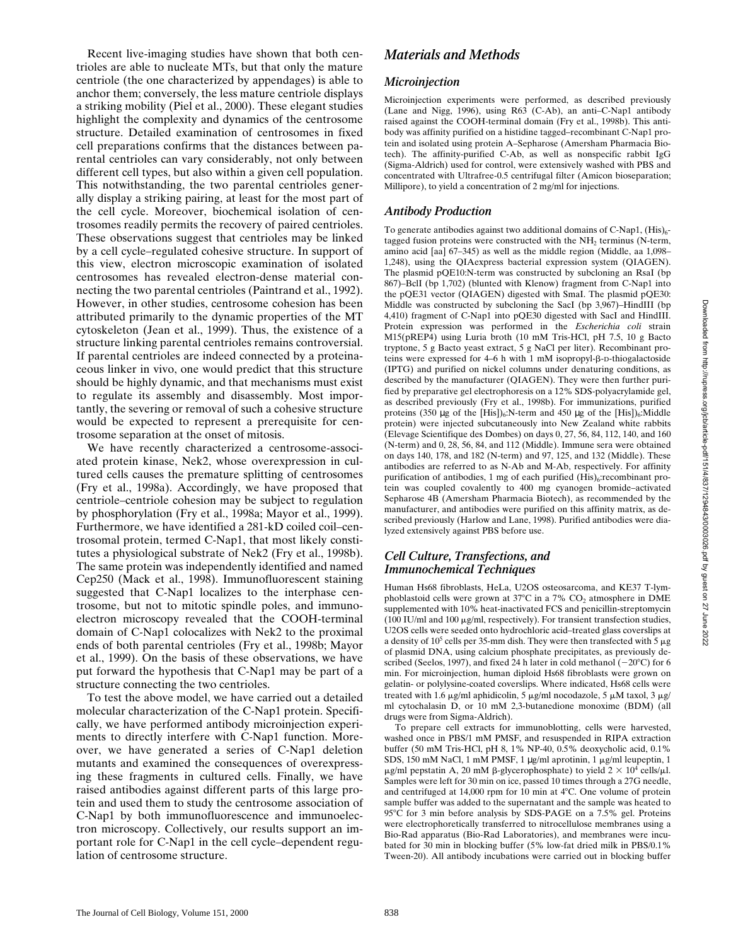Recent live-imaging studies have shown that both centrioles are able to nucleate MTs, but that only the mature centriole (the one characterized by appendages) is able to anchor them; conversely, the less mature centriole displays a striking mobility (Piel et al., 2000). These elegant studies highlight the complexity and dynamics of the centrosome structure. Detailed examination of centrosomes in fixed cell preparations confirms that the distances between parental centrioles can vary considerably, not only between different cell types, but also within a given cell population. This notwithstanding, the two parental centrioles generally display a striking pairing, at least for the most part of the cell cycle. Moreover, biochemical isolation of centrosomes readily permits the recovery of paired centrioles. These observations suggest that centrioles may be linked by a cell cycle–regulated cohesive structure. In support of this view, electron microscopic examination of isolated centrosomes has revealed electron-dense material connecting the two parental centrioles (Paintrand et al., 1992). However, in other studies, centrosome cohesion has been attributed primarily to the dynamic properties of the MT cytoskeleton (Jean et al., 1999). Thus, the existence of a structure linking parental centrioles remains controversial. If parental centrioles are indeed connected by a proteinaceous linker in vivo, one would predict that this structure should be highly dynamic, and that mechanisms must exist to regulate its assembly and disassembly. Most importantly, the severing or removal of such a cohesive structure would be expected to represent a prerequisite for centrosome separation at the onset of mitosis.

We have recently characterized a centrosome-associated protein kinase, Nek2, whose overexpression in cultured cells causes the premature splitting of centrosomes (Fry et al., 1998a). Accordingly, we have proposed that centriole–centriole cohesion may be subject to regulation by phosphorylation (Fry et al., 1998a; Mayor et al., 1999). Furthermore, we have identified a 281-kD coiled coil–centrosomal protein, termed C-Nap1, that most likely constitutes a physiological substrate of Nek2 (Fry et al., 1998b). The same protein was independently identified and named Cep250 (Mack et al., 1998). Immunofluorescent staining suggested that C-Nap1 localizes to the interphase centrosome, but not to mitotic spindle poles, and immunoelectron microscopy revealed that the COOH-terminal domain of C-Nap1 colocalizes with Nek2 to the proximal ends of both parental centrioles (Fry et al., 1998b; Mayor et al., 1999). On the basis of these observations, we have put forward the hypothesis that C-Nap1 may be part of a structure connecting the two centrioles.

To test the above model, we have carried out a detailed molecular characterization of the C-Nap1 protein. Specifically, we have performed antibody microinjection experiments to directly interfere with C-Nap1 function. Moreover, we have generated a series of C-Nap1 deletion mutants and examined the consequences of overexpressing these fragments in cultured cells. Finally, we have raised antibodies against different parts of this large protein and used them to study the centrosome association of C-Nap1 by both immunofluorescence and immunoelectron microscopy. Collectively, our results support an important role for C-Nap1 in the cell cycle–dependent regulation of centrosome structure.

# *Materials and Methods*

## *Microinjection*

Microinjection experiments were performed, as described previously (Lane and Nigg, 1996), using R63 (C-Ab), an anti–C-Nap1 antibody raised against the COOH-terminal domain (Fry et al., 1998b). This antibody was affinity purified on a histidine tagged–recombinant C-Nap1 protein and isolated using protein A–Sepharose (Amersham Pharmacia Biotech). The affinity-purified C-Ab, as well as nonspecific rabbit IgG (Sigma-Aldrich) used for control, were extensively washed with PBS and concentrated with Ultrafree-0.5 centrifugal filter (Amicon bioseparation; Millipore), to yield a concentration of 2 mg/ml for injections.

## *Antibody Production*

To generate antibodies against two additional domains of C-Nap1,  $(His)_{6}$ tagged fusion proteins were constructed with the NH<sub>2</sub> terminus (N-term, amino acid [aa] 67–345) as well as the middle region (Middle, aa 1,098– 1,248), using the QIAexpress bacterial expression system (QIAGEN). The plasmid pQE10:N-term was constructed by subcloning an RsaI (bp 867)–BclI (bp 1,702) (blunted with Klenow) fragment from C-Nap1 into the pQE31 vector (QIAGEN) digested with SmaI. The plasmid pQE30: Middle was constructed by subcloning the SacI (bp 3,967)–HindIII (bp 4,410) fragment of C-Nap1 into pQE30 digested with SacI and HindIII. Protein expression was performed in the *Escherichia coli* strain M15(pREP4) using Luria broth (10 mM Tris-HCl, pH 7.5, 10 g Bacto tryptone, 5 g Bacto yeast extract, 5 g NaCl per liter). Recombinant proteins were expressed for 4–6 h with 1 mM isopropyl- $\beta$ -D-thiogalactoside (IPTG) and purified on nickel columns under denaturing conditions, as described by the manufacturer (QIAGEN). They were then further purified by preparative gel electrophoresis on a 12% SDS-polyacrylamide gel, as described previously (Fry et al., 1998b). For immunizations, purified proteins  $(350 \mu g)$  of the [His])<sub>6</sub>:N-term and 450  $\mu g$  of the [His])<sub>6</sub>:Middle protein) were injected subcutaneously into New Zealand white rabbits (Elevage Scientifique des Dombes) on days 0, 27, 56, 84, 112, 140, and 160 (N-term) and 0, 28, 56, 84, and 112 (Middle). Immune sera were obtained on days 140, 178, and 182 (N-term) and 97, 125, and 132 (Middle). These antibodies are referred to as N-Ab and M-Ab, respectively. For affinity purification of antibodies, 1 mg of each purified (His)<sub>6</sub>:recombinant protein was coupled covalently to 400 mg cyanogen bromide–activated Sepharose 4B (Amersham Pharmacia Biotech), as recommended by the manufacturer, and antibodies were purified on this affinity matrix, as described previously (Harlow and Lane, 1998). Purified antibodies were dialyzed extensively against PBS before use.

# *Cell Culture, Transfections, and Immunochemical Techniques*

Human Hs68 fibroblasts, HeLa, U2OS osteosarcoma, and KE37 T-lymphoblastoid cells were grown at  $37^{\circ}$ C in a  $7\%$  CO<sub>2</sub> atmosphere in DME supplemented with 10% heat-inactivated FCS and penicillin-streptomycin (100 IU/ml and 100  $\mu$ g/ml, respectively). For transient transfection studies, U2OS cells were seeded onto hydrochloric acid–treated glass coverslips at a density of  $10^5$  cells per 35-mm dish. They were then transfected with 5  $\mu$ g of plasmid DNA, using calcium phosphate precipitates, as previously described (Seelos, 1997), and fixed 24 h later in cold methanol  $(-20^{\circ}C)$  for 6 min. For microinjection, human diploid Hs68 fibroblasts were grown on gelatin- or polylysine-coated coverslips. Where indicated, Hs68 cells were treated with 1.6  $\mu$ g/ml aphidicolin, 5  $\mu$ g/ml nocodazole, 5  $\mu$ M taxol, 3  $\mu$ g/ ml cytochalasin D, or 10 mM 2,3-butanedione monoxime (BDM) (all drugs were from Sigma-Aldrich).

To prepare cell extracts for immunoblotting, cells were harvested, washed once in PBS/1 mM PMSF, and resuspended in RIPA extraction buffer (50 mM Tris-HCl, pH 8, 1% NP-40, 0.5% deoxycholic acid, 0.1% SDS, 150 mM NaCl, 1 mM PMSF, 1 µg/ml aprotinin, 1 µg/ml leupeptin, 1  $\mu$ g/ml pepstatin A, 20 mM β-glycerophosphate) to yield 2 × 10<sup>4</sup> cells/ $\mu$ l. Samples were left for 30 min on ice, passed 10 times through a 27G needle, and centrifuged at  $14,000$  rpm for 10 min at  $4^{\circ}$ C. One volume of protein sample buffer was added to the supernatant and the sample was heated to  $95^{\circ}$ C for 3 min before analysis by SDS-PAGE on a 7.5% gel. Proteins were electrophoretically transferred to nitrocellulose membranes using a Bio-Rad apparatus (Bio-Rad Laboratories), and membranes were incubated for 30 min in blocking buffer (5% low-fat dried milk in PBS/0.1% Tween-20). All antibody incubations were carried out in blocking buffer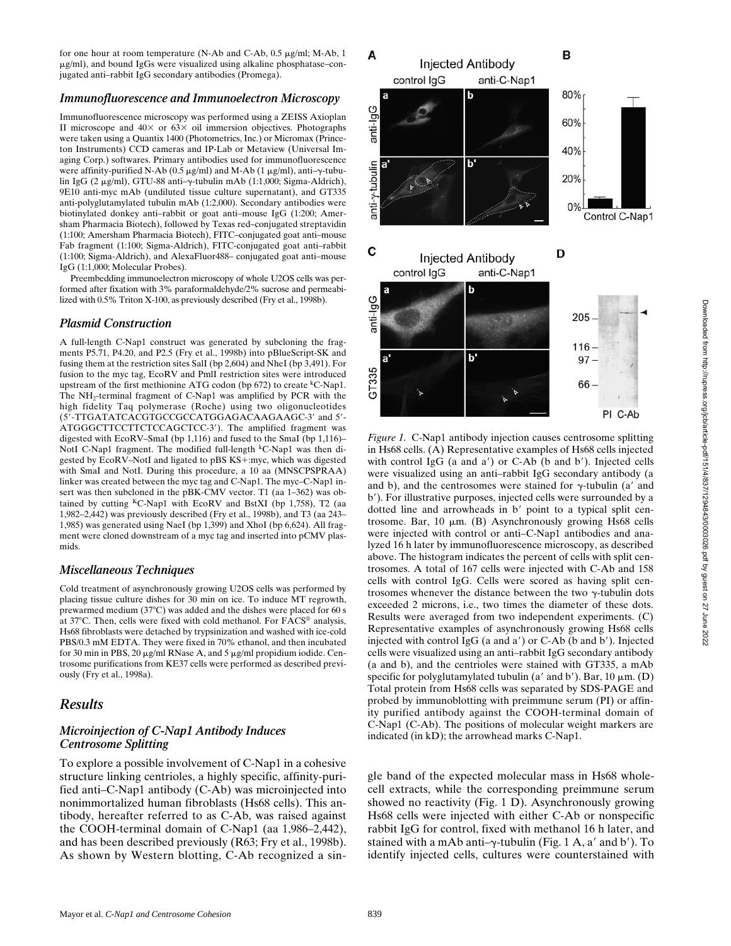for one hour at room temperature (N-Ab and C-Ab, 0.5 µg/ml; M-Ab, 1 mg/ml), and bound IgGs were visualized using alkaline phosphatase–conjugated anti–rabbit IgG secondary antibodies (Promega).

#### *Immunofluorescence and Immunoelectron Microscopy*

Immunofluorescence microscopy was performed using a ZEISS Axioplan II microscope and  $40\times$  or  $63\times$  oil immersion objectives. Photographs were taken using a Quantix 1400 (Photometrics, Inc.) or Micromax (Princeton Instruments) CCD cameras and IP-Lab or Metaview (Universal Imaging Corp.) softwares. Primary antibodies used for immunofluorescence were affinity-purified N-Ab (0.5  $\mu$ g/ml) and M-Ab (1  $\mu$ g/ml), anti- $\gamma$ -tubulin IgG (2 μg/ml), GTU-88 anti-γ-tubulin mAb (1:1,000; Sigma-Aldrich), 9E10 anti-myc mAb (undiluted tissue culture supernatant), and GT335 anti-polyglutamylated tubulin mAb (1:2,000). Secondary antibodies were biotinylated donkey anti–rabbit or goat anti–mouse IgG (1:200; Amersham Pharmacia Biotech), followed by Texas red–conjugated streptavidin (1:100; Amersham Pharmacia Biotech), FITC–conjugated goat anti–mouse Fab fragment (1:100; Sigma-Aldrich), FITC-conjugated goat anti–rabbit (1:100; Sigma-Aldrich), and AlexaFluor488– conjugated goat anti–mouse IgG (1:1,000; Molecular Probes).

Preembedding immunoelectron microscopy of whole U2OS cells was performed after fixation with 3% paraformaldehyde/2% sucrose and permeabilized with 0.5% Triton X-100, as previously described (Fry et al., 1998b).

#### *Plasmid Construction*

A full-length C-Nap1 construct was generated by subcloning the fragments P5.71, P4.20, and P2.5 (Fry et al., 1998b) into pBlueScript-SK and fusing them at the restriction sites SalI (bp 2,604) and NheI (bp 3,491). For fusion to the myc tag, EcoRV and PmlI restriction sites were introduced upstream of the first methionine ATG codon (bp  $672$ ) to create <sup>k</sup>C-Nap1. The NH<sub>2</sub>-terminal fragment of C-Nap1 was amplified by PCR with the high fidelity Taq polymerase (Roche) using two oligonucleotides (5'-TTGATATCACGTGCCGCCATGGAGACAAGAAGC-3' and 5'-ATGGGCTTCCTTCTCCAGCTCC-3'). The amplified fragment was digested with EcoRV–SmaI (bp 1,116) and fused to the SmaI (bp 1,116)– NotI C-Nap1 fragment. The modified full-length  $k$ C-Nap1 was then digested by EcoRV–NotI and ligated to pBS KS+:myc, which was digested with SmaI and NotI. During this procedure, a 10 aa (MNSCPSPRAA) linker was created between the myc tag and C-Nap1. The myc–C-Nap1 insert was then subcloned in the pBK-CMV vector. T1 (aa 1–362) was obtained by cutting  ${}^K$ C-Nap1 with EcoRV and BstXI (bp 1,758), T2 (aa 1,982–2,442) was previously described (Fry et al., 1998b), and T3 (aa 243– 1,985) was generated using NaeI (bp 1,399) and XhoI (bp 6,624). All fragment were cloned downstream of a myc tag and inserted into pCMV plasmids.

#### *Miscellaneous Techniques*

Cold treatment of asynchronously growing U2OS cells was performed by placing tissue culture dishes for 30 min on ice. To induce MT regrowth, prewarmed medium ( $37^{\circ}$ C) was added and the dishes were placed for 60 s at 37°C. Then, cells were fixed with cold methanol. For FACS<sup>®</sup> analysis, Hs68 fibroblasts were detached by trypsinization and washed with ice-cold PBS/0.3 mM EDTA. They were fixed in 70% ethanol, and then incubated for 30 min in PBS, 20  $\mu$ g/ml RNase A, and 5  $\mu$ g/ml propidium iodide. Centrosome purifications from KE37 cells were performed as described previously (Fry et al., 1998a).

### *Results*

#### *Microinjection of C-Nap1 Antibody Induces Centrosome Splitting*

To explore a possible involvement of C-Nap1 in a cohesive structure linking centrioles, a highly specific, affinity-purified anti–C-Nap1 antibody (C-Ab) was microinjected into nonimmortalized human fibroblasts (Hs68 cells). This antibody, hereafter referred to as C-Ab, was raised against the COOH-terminal domain of C-Nap1 (aa 1,986–2,442), and has been described previously (R63; Fry et al., 1998b). As shown by Western blotting, C-Ab recognized a sin-



*Figure 1.* C-Nap1 antibody injection causes centrosome splitting in Hs68 cells. (A) Representative examples of Hs68 cells injected with control IgG (a and  $a'$ ) or C-Ab (b and b'). Injected cells were visualized using an anti–rabbit IgG secondary antibody (a and b), and the centrosomes were stained for  $\gamma$ -tubulin (a' and b'). For illustrative purposes, injected cells were surrounded by a dotted line and arrowheads in b' point to a typical split centrosome. Bar,  $10 \mu m$ . (B) Asynchronously growing Hs68 cells were injected with control or anti–C-Nap1 antibodies and analyzed 16 h later by immunofluorescence microscopy, as described above. The histogram indicates the percent of cells with split centrosomes. A total of 167 cells were injected with C-Ab and 158 cells with control IgG. Cells were scored as having split centrosomes whenever the distance between the two  $\gamma$ -tubulin dots exceeded 2 microns, i.e., two times the diameter of these dots. Results were averaged from two independent experiments. (C) Representative examples of asynchronously growing Hs68 cells injected with control IgG (a and  $a'$ ) or C-Ab (b and b'). Injected cells were visualized using an anti–rabbit IgG secondary antibody (a and b), and the centrioles were stained with GT335, a mAb specific for polyglutamylated tubulin (a' and b'). Bar, 10  $\mu$ m. (D) Total protein from Hs68 cells was separated by SDS-PAGE and probed by immunoblotting with preimmune serum (PI) or affinity purified antibody against the COOH-terminal domain of C-Nap1 (C-Ab). The positions of molecular weight markers are indicated (in kD); the arrowhead marks C-Nap1.

gle band of the expected molecular mass in Hs68 wholecell extracts, while the corresponding preimmune serum showed no reactivity (Fig. 1 D). Asynchronously growing Hs68 cells were injected with either C-Ab or nonspecific rabbit IgG for control, fixed with methanol 16 h later, and stained with a mAb anti– $\gamma$ -tubulin (Fig. 1 A, a' and b'). To identify injected cells, cultures were counterstained with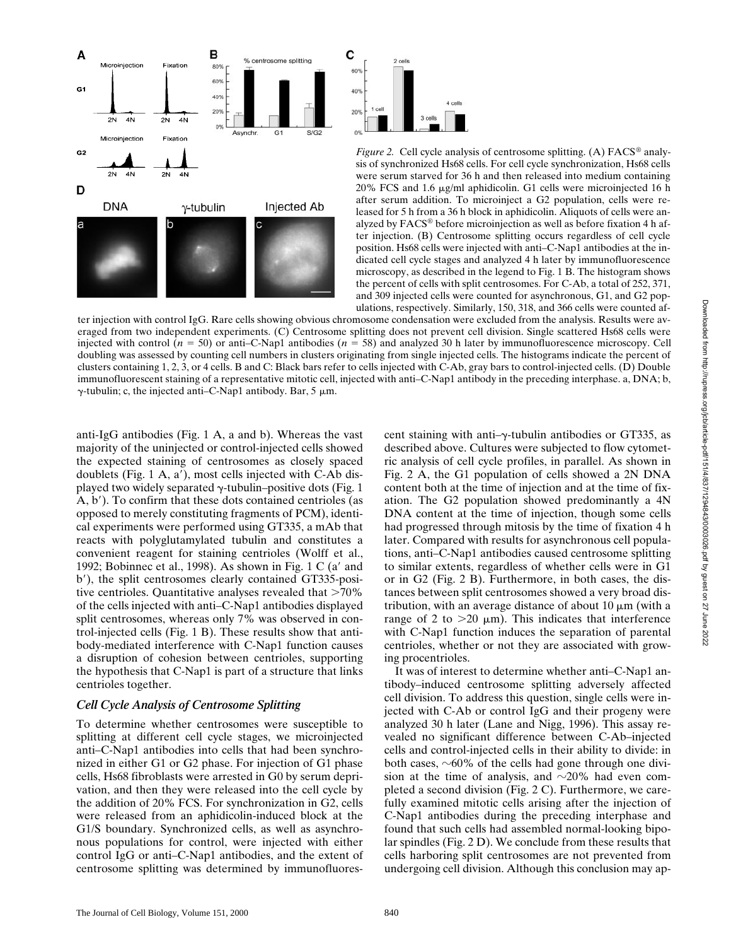



*Figure 2.* Cell cycle analysis of centrosome splitting. (A) FACS<sup>®</sup> analysis of synchronized Hs68 cells. For cell cycle synchronization, Hs68 cells were serum starved for 36 h and then released into medium containing 20% FCS and 1.6 mg/ml aphidicolin. G1 cells were microinjected 16 h after serum addition. To microinject a G2 population, cells were released for 5 h from a 36 h block in aphidicolin. Aliquots of cells were analyzed by FACS® before microinjection as well as before fixation 4 h after injection. (B) Centrosome splitting occurs regardless of cell cycle position. Hs68 cells were injected with anti–C-Nap1 antibodies at the indicated cell cycle stages and analyzed 4 h later by immunofluorescence microscopy, as described in the legend to Fig. 1 B. The histogram shows the percent of cells with split centrosomes. For C-Ab, a total of 252, 371, and 309 injected cells were counted for asynchronous, G1, and G2 populations, respectively. Similarly, 150, 318, and 366 cells were counted af-

ter injection with control IgG. Rare cells showing obvious chromosome condensation were excluded from the analysis. Results were averaged from two independent experiments. (C) Centrosome splitting does not prevent cell division. Single scattered Hs68 cells were injected with control  $(n = 50)$  or anti–C-Nap1 antibodies  $(n = 58)$  and analyzed 30 h later by immunofluorescence microscopy. Cell doubling was assessed by counting cell numbers in clusters originating from single injected cells. The histograms indicate the percent of clusters containing 1, 2, 3, or 4 cells. B and C: Black bars refer to cells injected with C-Ab, gray bars to control-injected cells. (D) Double immunofluorescent staining of a representative mitotic cell, injected with anti–C-Nap1 antibody in the preceding interphase. a, DNA; b,  $\gamma$ -tubulin; c, the injected anti-C-Nap1 antibody. Bar, 5  $\mu$ m.

anti-IgG antibodies (Fig. 1 A, a and b). Whereas the vast majority of the uninjected or control-injected cells showed the expected staining of centrosomes as closely spaced doublets (Fig.  $1 \text{ A}$ ,  $a'$ ), most cells injected with C-Ab displayed two widely separated  $\gamma$ -tubulin–positive dots (Fig. 1)  $(A, b')$ . To confirm that these dots contained centrioles (as opposed to merely constituting fragments of PCM), identical experiments were performed using GT335, a mAb that reacts with polyglutamylated tubulin and constitutes a convenient reagent for staining centrioles (Wolff et al., 1992; Bobinnec et al., 1998). As shown in Fig. 1 C (a' and b'), the split centrosomes clearly contained GT335-positive centrioles. Quantitative analyses revealed that  $>70\%$ of the cells injected with anti–C-Nap1 antibodies displayed split centrosomes, whereas only 7% was observed in control-injected cells (Fig. 1 B). These results show that antibody-mediated interference with C-Nap1 function causes a disruption of cohesion between centrioles, supporting the hypothesis that C-Nap1 is part of a structure that links centrioles together.

### *Cell Cycle Analysis of Centrosome Splitting*

To determine whether centrosomes were susceptible to splitting at different cell cycle stages, we microinjected anti–C-Nap1 antibodies into cells that had been synchronized in either G1 or G2 phase. For injection of G1 phase cells, Hs68 fibroblasts were arrested in G0 by serum deprivation, and then they were released into the cell cycle by the addition of 20% FCS. For synchronization in G2, cells were released from an aphidicolin-induced block at the G1/S boundary. Synchronized cells, as well as asynchronous populations for control, were injected with either control IgG or anti–C-Nap1 antibodies, and the extent of centrosome splitting was determined by immunofluorescent staining with anti- $\gamma$ -tubulin antibodies or GT335, as described above. Cultures were subjected to flow cytometric analysis of cell cycle profiles, in parallel. As shown in Fig. 2 A, the G1 population of cells showed a 2N DNA content both at the time of injection and at the time of fixation. The G2 population showed predominantly a 4N DNA content at the time of injection, though some cells had progressed through mitosis by the time of fixation 4 h later. Compared with results for asynchronous cell populations, anti–C-Nap1 antibodies caused centrosome splitting to similar extents, regardless of whether cells were in G1 or in G2 (Fig. 2 B). Furthermore, in both cases, the distances between split centrosomes showed a very broad distribution, with an average distance of about  $10 \mu m$  (with a range of 2 to  $>20 \mu m$ ). This indicates that interference with C-Nap1 function induces the separation of parental centrioles, whether or not they are associated with growing procentrioles.

It was of interest to determine whether anti–C-Nap1 antibody–induced centrosome splitting adversely affected cell division. To address this question, single cells were injected with C-Ab or control IgG and their progeny were analyzed 30 h later (Lane and Nigg, 1996). This assay revealed no significant difference between C-Ab–injected cells and control-injected cells in their ability to divide: in both cases,  $\sim 60\%$  of the cells had gone through one division at the time of analysis, and  $\sim$ 20% had even completed a second division (Fig. 2 C). Furthermore, we carefully examined mitotic cells arising after the injection of C-Nap1 antibodies during the preceding interphase and found that such cells had assembled normal-looking bipolar spindles (Fig. 2 D). We conclude from these results that cells harboring split centrosomes are not prevented from undergoing cell division. Although this conclusion may ap-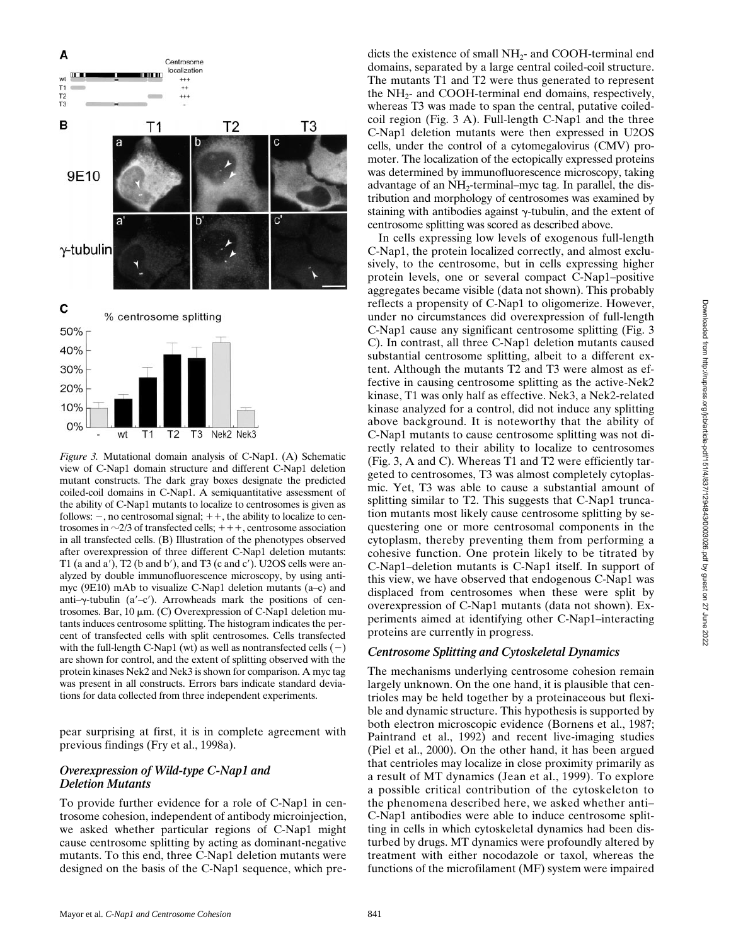

*Figure 3.* Mutational domain analysis of C-Nap1. (A) Schematic view of C-Nap1 domain structure and different C-Nap1 deletion mutant constructs. The dark gray boxes designate the predicted coiled-coil domains in C-Nap1. A semiquantitative assessment of the ability of C-Nap1 mutants to localize to centrosomes is given as follows:  $-$ , no centrosomal signal;  $++$ , the ability to localize to centrosomes in  $\sim$ 2/3 of transfected cells;  $++$ , centrosome association in all transfected cells. (B) Illustration of the phenotypes observed after overexpression of three different C-Nap1 deletion mutants: T1 (a and a'), T2 (b and b'), and T3 (c and c'). U2OS cells were analyzed by double immunofluorescence microscopy, by using antimyc (9E10) mAb to visualize C-Nap1 deletion mutants (a–c) and anti- $\gamma$ -tubulin (a'-c'). Arrowheads mark the positions of centrosomes. Bar, 10  $\mu$ m. (C) Overexpression of C-Nap1 deletion mutants induces centrosome splitting. The histogram indicates the percent of transfected cells with split centrosomes. Cells transfected with the full-length C-Nap1 (wt) as well as nontransfected cells  $(-)$ are shown for control, and the extent of splitting observed with the protein kinases Nek2 and Nek3 is shown for comparison. A myc tag was present in all constructs. Errors bars indicate standard deviations for data collected from three independent experiments.

pear surprising at first, it is in complete agreement with previous findings (Fry et al., 1998a).

### *Overexpression of Wild-type C-Nap1 and Deletion Mutants*

To provide further evidence for a role of C-Nap1 in centrosome cohesion, independent of antibody microinjection, we asked whether particular regions of C-Nap1 might cause centrosome splitting by acting as dominant-negative mutants. To this end, three C-Nap1 deletion mutants were designed on the basis of the C-Nap1 sequence, which pre-

dicts the existence of small  $NH<sub>2</sub>$ - and COOH-terminal end domains, separated by a large central coiled-coil structure. The mutants T1 and T2 were thus generated to represent the  $NH<sub>2</sub>$ - and COOH-terminal end domains, respectively, whereas T3 was made to span the central, putative coiledcoil region (Fig. 3 A). Full-length C-Nap1 and the three C-Nap1 deletion mutants were then expressed in U2OS cells, under the control of a cytomegalovirus (CMV) promoter. The localization of the ectopically expressed proteins was determined by immunofluorescence microscopy, taking advantage of an NH<sub>2</sub>-terminal–myc tag. In parallel, the distribution and morphology of centrosomes was examined by staining with antibodies against  $\gamma$ -tubulin, and the extent of centrosome splitting was scored as described above.

In cells expressing low levels of exogenous full-length C-Nap1, the protein localized correctly, and almost exclusively, to the centrosome, but in cells expressing higher protein levels, one or several compact C-Nap1–positive aggregates became visible (data not shown). This probably reflects a propensity of C-Nap1 to oligomerize. However, under no circumstances did overexpression of full-length C-Nap1 cause any significant centrosome splitting (Fig. 3 C). In contrast, all three C-Nap1 deletion mutants caused substantial centrosome splitting, albeit to a different extent. Although the mutants T2 and T3 were almost as effective in causing centrosome splitting as the active-Nek2 kinase, T1 was only half as effective. Nek3, a Nek2-related kinase analyzed for a control, did not induce any splitting above background. It is noteworthy that the ability of C-Nap1 mutants to cause centrosome splitting was not directly related to their ability to localize to centrosomes (Fig. 3, A and C). Whereas T1 and T2 were efficiently targeted to centrosomes, T3 was almost completely cytoplasmic. Yet, T3 was able to cause a substantial amount of splitting similar to T2. This suggests that C-Nap1 truncation mutants most likely cause centrosome splitting by sequestering one or more centrosomal components in the cytoplasm, thereby preventing them from performing a cohesive function. One protein likely to be titrated by C-Nap1–deletion mutants is C-Nap1 itself. In support of this view, we have observed that endogenous C-Nap1 was displaced from centrosomes when these were split by overexpression of C-Nap1 mutants (data not shown). Experiments aimed at identifying other C-Nap1–interacting proteins are currently in progress.

### *Centrosome Splitting and Cytoskeletal Dynamics*

The mechanisms underlying centrosome cohesion remain largely unknown. On the one hand, it is plausible that centrioles may be held together by a proteinaceous but flexible and dynamic structure. This hypothesis is supported by both electron microscopic evidence (Bornens et al., 1987; Paintrand et al., 1992) and recent live-imaging studies (Piel et al., 2000). On the other hand, it has been argued that centrioles may localize in close proximity primarily as a result of MT dynamics (Jean et al., 1999). To explore a possible critical contribution of the cytoskeleton to the phenomena described here, we asked whether anti– C-Nap1 antibodies were able to induce centrosome splitting in cells in which cytoskeletal dynamics had been disturbed by drugs. MT dynamics were profoundly altered by treatment with either nocodazole or taxol, whereas the functions of the microfilament (MF) system were impaired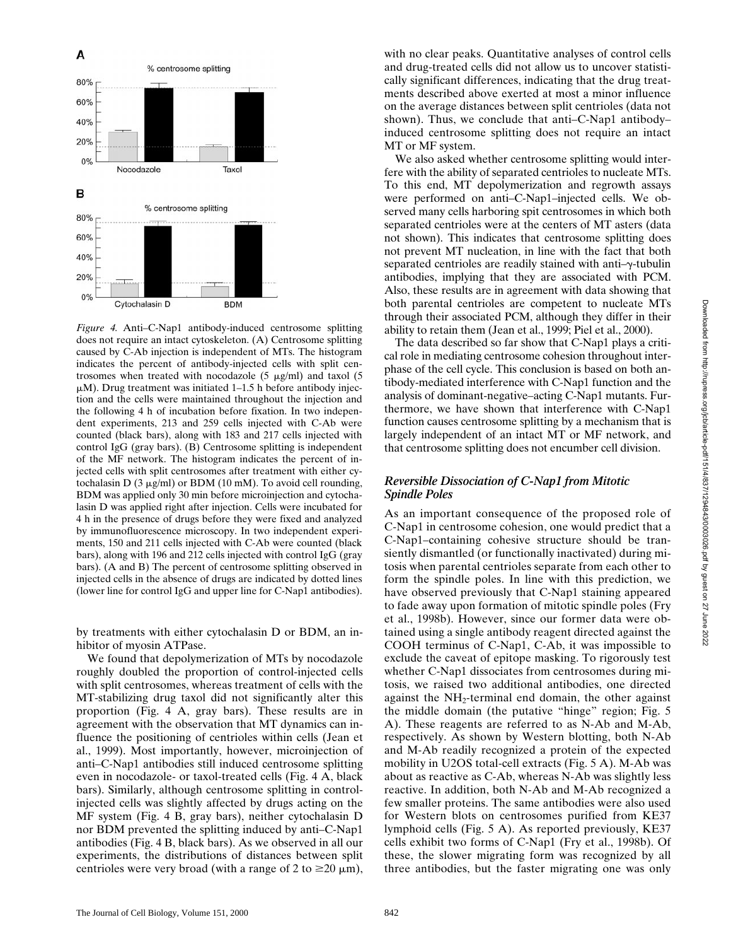

*Figure 4.* Anti–C-Nap1 antibody-induced centrosome splitting does not require an intact cytoskeleton. (A) Centrosome splitting caused by C-Ab injection is independent of MTs. The histogram indicates the percent of antibody-injected cells with split centrosomes when treated with nocodazole (5  $\mu$ g/ml) and taxol (5  $\mu$ M). Drug treatment was initiated 1–1.5 h before antibody injection and the cells were maintained throughout the injection and the following 4 h of incubation before fixation. In two independent experiments, 213 and 259 cells injected with C-Ab were counted (black bars), along with 183 and 217 cells injected with control IgG (gray bars). (B) Centrosome splitting is independent of the MF network. The histogram indicates the percent of injected cells with split centrosomes after treatment with either cytochalasin D (3  $\mu$ g/ml) or BDM (10 mM). To avoid cell rounding, BDM was applied only 30 min before microinjection and cytochalasin D was applied right after injection. Cells were incubated for 4 h in the presence of drugs before they were fixed and analyzed by immunofluorescence microscopy. In two independent experiments, 150 and 211 cells injected with C-Ab were counted (black bars), along with 196 and 212 cells injected with control IgG (gray bars). (A and B) The percent of centrosome splitting observed in injected cells in the absence of drugs are indicated by dotted lines (lower line for control IgG and upper line for C-Nap1 antibodies).

by treatments with either cytochalasin D or BDM, an inhibitor of myosin ATPase.

We found that depolymerization of MTs by nocodazole roughly doubled the proportion of control-injected cells with split centrosomes, whereas treatment of cells with the MT-stabilizing drug taxol did not significantly alter this proportion (Fig. 4 A, gray bars). These results are in agreement with the observation that MT dynamics can influence the positioning of centrioles within cells (Jean et al., 1999). Most importantly, however, microinjection of anti–C-Nap1 antibodies still induced centrosome splitting even in nocodazole- or taxol-treated cells (Fig. 4 A, black bars). Similarly, although centrosome splitting in controlinjected cells was slightly affected by drugs acting on the MF system (Fig. 4 B, gray bars), neither cytochalasin D nor BDM prevented the splitting induced by anti–C-Nap1 antibodies (Fig. 4 B, black bars). As we observed in all our experiments, the distributions of distances between split centrioles were very broad (with a range of 2 to  $\geq 20 \mu m$ ),

We also asked whether centrosome splitting would interfere with the ability of separated centrioles to nucleate MTs. To this end, MT depolymerization and regrowth assays were performed on anti–C-Nap1–injected cells. We observed many cells harboring spit centrosomes in which both separated centrioles were at the centers of MT asters (data not shown). This indicates that centrosome splitting does not prevent MT nucleation, in line with the fact that both separated centrioles are readily stained with anti- $\gamma$ -tubulin antibodies, implying that they are associated with PCM. Also, these results are in agreement with data showing that both parental centrioles are competent to nucleate MTs through their associated PCM, although they differ in their ability to retain them (Jean et al., 1999; Piel et al., 2000).

The data described so far show that C-Nap1 plays a critical role in mediating centrosome cohesion throughout interphase of the cell cycle. This conclusion is based on both antibody-mediated interference with C-Nap1 function and the analysis of dominant-negative–acting C-Nap1 mutants. Furthermore, we have shown that interference with C-Nap1 function causes centrosome splitting by a mechanism that is largely independent of an intact MT or MF network, and that centrosome splitting does not encumber cell division.

# *Reversible Dissociation of C-Nap1 from Mitotic Spindle Poles*

As an important consequence of the proposed role of C-Nap1 in centrosome cohesion, one would predict that a C-Nap1–containing cohesive structure should be transiently dismantled (or functionally inactivated) during mitosis when parental centrioles separate from each other to form the spindle poles. In line with this prediction, we have observed previously that C-Nap1 staining appeared to fade away upon formation of mitotic spindle poles (Fry et al., 1998b). However, since our former data were obtained using a single antibody reagent directed against the COOH terminus of C-Nap1, C-Ab, it was impossible to exclude the caveat of epitope masking. To rigorously test whether C-Nap1 dissociates from centrosomes during mitosis, we raised two additional antibodies, one directed against the  $NH<sub>2</sub>$ -terminal end domain, the other against the middle domain (the putative "hinge" region; Fig. 5 A). These reagents are referred to as N-Ab and M-Ab, respectively. As shown by Western blotting, both N-Ab and M-Ab readily recognized a protein of the expected mobility in U2OS total-cell extracts (Fig. 5 A). M-Ab was about as reactive as C-Ab, whereas N-Ab was slightly less reactive. In addition, both N-Ab and M-Ab recognized a few smaller proteins. The same antibodies were also used for Western blots on centrosomes purified from KE37 lymphoid cells (Fig. 5 A). As reported previously, KE37 cells exhibit two forms of C-Nap1 (Fry et al., 1998b). Of these, the slower migrating form was recognized by all three antibodies, but the faster migrating one was only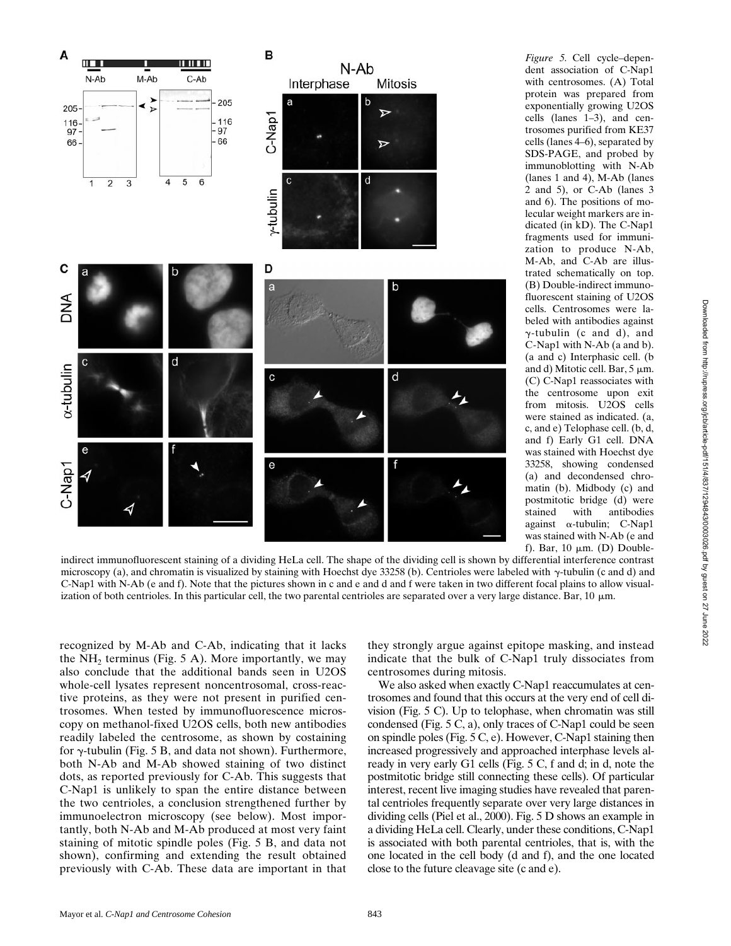

*Figure 5.* Cell cycle–dependent association of C-Nap1 with centrosomes. (A) Total protein was prepared from exponentially growing U2OS cells (lanes 1–3), and centrosomes purified from KE37 cells (lanes 4–6), separated by SDS-PAGE, and probed by immunoblotting with N-Ab (lanes 1 and 4), M-Ab (lanes 2 and 5), or C-Ab (lanes 3 and 6). The positions of molecular weight markers are indicated (in kD). The C-Nap1 fragments used for immunization to produce N-Ab, M-Ab, and C-Ab are illustrated schematically on top. (B) Double-indirect immunofluorescent staining of U2OS cells. Centrosomes were labeled with antibodies against  $\gamma$ -tubulin (c and d), and C-Nap1 with N-Ab (a and b). (a and c) Interphasic cell. (b and d) Mitotic cell. Bar,  $5 \mu m$ . (C) C-Nap1 reassociates with the centrosome upon exit from mitosis. U2OS cells were stained as indicated. (a, c, and e) Telophase cell. (b, d, and f) Early G1 cell. DNA was stained with Hoechst dye 33258, showing condensed (a) and decondensed chromatin (b). Midbody (c) and postmitotic bridge (d) were<br>stained with antibodies stained with antibodies against  $\alpha$ -tubulin; C-Nap1 was stained with N-Ab (e and f). Bar, 10  $\mu$ m. (D) Double-

indirect immunofluorescent staining of a dividing HeLa cell. The shape of the dividing cell is shown by differential interference contrast microscopy (a), and chromatin is visualized by staining with Hoechst dye 33258 (b). Centrioles were labeled with  $\gamma$ -tubulin (c and d) and C-Nap1 with N-Ab (e and f). Note that the pictures shown in c and e and d and f were taken in two different focal plains to allow visualization of both centrioles. In this particular cell, the two parental centrioles are separated over a very large distance. Bar,  $10 \mu m$ .

recognized by M-Ab and C-Ab, indicating that it lacks the  $NH<sub>2</sub>$  terminus (Fig. 5 A). More importantly, we may also conclude that the additional bands seen in U2OS whole-cell lysates represent noncentrosomal, cross-reactive proteins, as they were not present in purified centrosomes. When tested by immunofluorescence microscopy on methanol-fixed U2OS cells, both new antibodies readily labeled the centrosome, as shown by costaining for  $\gamma$ -tubulin (Fig. 5 B, and data not shown). Furthermore, both N-Ab and M-Ab showed staining of two distinct dots, as reported previously for C-Ab. This suggests that C-Nap1 is unlikely to span the entire distance between the two centrioles, a conclusion strengthened further by immunoelectron microscopy (see below). Most importantly, both N-Ab and M-Ab produced at most very faint staining of mitotic spindle poles (Fig. 5 B, and data not shown), confirming and extending the result obtained previously with C-Ab. These data are important in that they strongly argue against epitope masking, and instead indicate that the bulk of C-Nap1 truly dissociates from centrosomes during mitosis.

We also asked when exactly C-Nap1 reaccumulates at centrosomes and found that this occurs at the very end of cell division (Fig. 5 C). Up to telophase, when chromatin was still condensed (Fig. 5 C, a), only traces of C-Nap1 could be seen on spindle poles (Fig. 5 C, e). However, C-Nap1 staining then increased progressively and approached interphase levels already in very early G1 cells (Fig. 5 C, f and d; in d, note the postmitotic bridge still connecting these cells). Of particular interest, recent live imaging studies have revealed that parental centrioles frequently separate over very large distances in dividing cells (Piel et al., 2000). Fig. 5 D shows an example in a dividing HeLa cell. Clearly, under these conditions, C-Nap1 is associated with both parental centrioles, that is, with the one located in the cell body (d and f), and the one located close to the future cleavage site (c and e).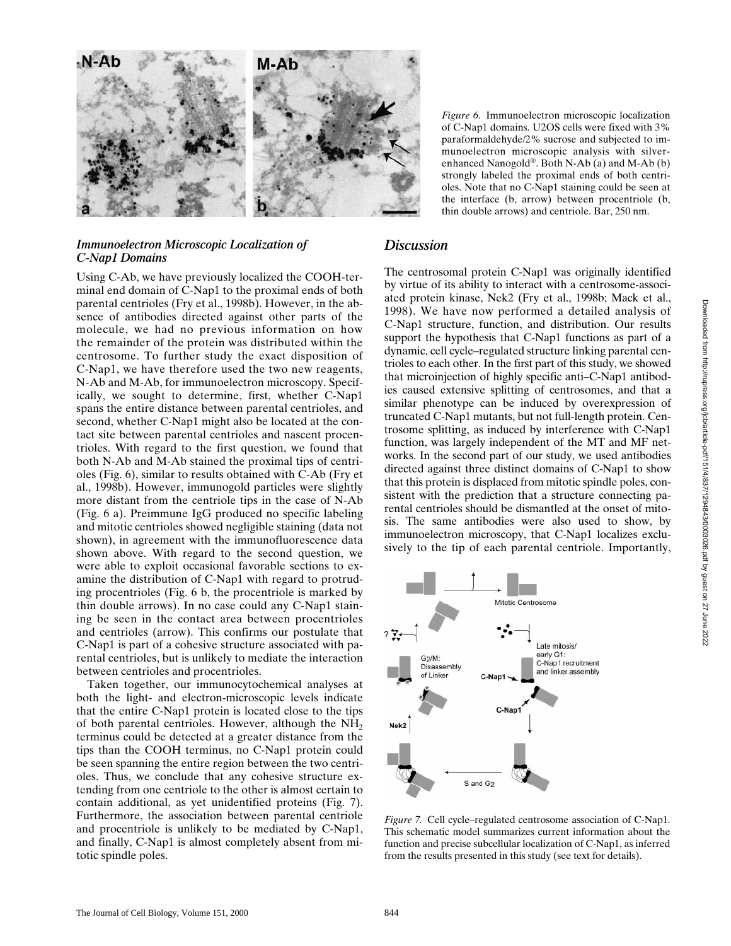

### *Immunoelectron Microscopic Localization of C-Nap1 Domains*

Using C-Ab, we have previously localized the COOH-terminal end domain of C-Nap1 to the proximal ends of both parental centrioles (Fry et al., 1998b). However, in the absence of antibodies directed against other parts of the molecule, we had no previous information on how the remainder of the protein was distributed within the centrosome. To further study the exact disposition of C-Nap1, we have therefore used the two new reagents, N-Ab and M-Ab, for immunoelectron microscopy. Specifically, we sought to determine, first, whether C-Nap1 spans the entire distance between parental centrioles, and second, whether C-Nap1 might also be located at the contact site between parental centrioles and nascent procentrioles. With regard to the first question, we found that both N-Ab and M-Ab stained the proximal tips of centrioles (Fig. 6), similar to results obtained with C-Ab (Fry et al., 1998b). However, immunogold particles were slightly more distant from the centriole tips in the case of N-Ab (Fig. 6 a). Preimmune IgG produced no specific labeling and mitotic centrioles showed negligible staining (data not shown), in agreement with the immunofluorescence data shown above. With regard to the second question, we were able to exploit occasional favorable sections to examine the distribution of C-Nap1 with regard to protruding procentrioles (Fig. 6 b, the procentriole is marked by thin double arrows). In no case could any C-Nap1 staining be seen in the contact area between procentrioles and centrioles (arrow). This confirms our postulate that C-Nap1 is part of a cohesive structure associated with parental centrioles, but is unlikely to mediate the interaction between centrioles and procentrioles.

Taken together, our immunocytochemical analyses at both the light- and electron-microscopic levels indicate that the entire C-Nap1 protein is located close to the tips of both parental centrioles. However, although the  $NH<sub>2</sub>$ terminus could be detected at a greater distance from the tips than the COOH terminus, no C-Nap1 protein could be seen spanning the entire region between the two centrioles. Thus, we conclude that any cohesive structure extending from one centriole to the other is almost certain to contain additional, as yet unidentified proteins (Fig. 7). Furthermore, the association between parental centriole and procentriole is unlikely to be mediated by C-Nap1, and finally, C-Nap1 is almost completely absent from mitotic spindle poles.

*Figure 6.* Immunoelectron microscopic localization of C-Nap1 domains. U2OS cells were fixed with 3% paraformaldehyde/2% sucrose and subjected to immunoelectron microscopic analysis with silverenhanced Nanogold®. Both N-Ab (a) and M-Ab (b) strongly labeled the proximal ends of both centrioles. Note that no C-Nap1 staining could be seen at the interface (b, arrow) between procentriole (b, thin double arrows) and centriole. Bar, 250 nm.

## *Discussion*

The centrosomal protein C-Nap1 was originally identified by virtue of its ability to interact with a centrosome-associated protein kinase, Nek2 (Fry et al., 1998b; Mack et al., 1998). We have now performed a detailed analysis of C-Nap1 structure, function, and distribution. Our results support the hypothesis that C-Nap1 functions as part of a dynamic, cell cycle–regulated structure linking parental centrioles to each other. In the first part of this study, we showed that microinjection of highly specific anti–C-Nap1 antibodies caused extensive splitting of centrosomes, and that a similar phenotype can be induced by overexpression of truncated C-Nap1 mutants, but not full-length protein. Centrosome splitting, as induced by interference with C-Nap1 function, was largely independent of the MT and MF networks. In the second part of our study, we used antibodies directed against three distinct domains of C-Nap1 to show that this protein is displaced from mitotic spindle poles, consistent with the prediction that a structure connecting parental centrioles should be dismantled at the onset of mitosis. The same antibodies were also used to show, by immunoelectron microscopy, that C-Nap1 localizes exclusively to the tip of each parental centriole. Importantly,



*Figure 7.* Cell cycle–regulated centrosome association of C-Nap1. This schematic model summarizes current information about the function and precise subcellular localization of C-Nap1, as inferred from the results presented in this study (see text for details).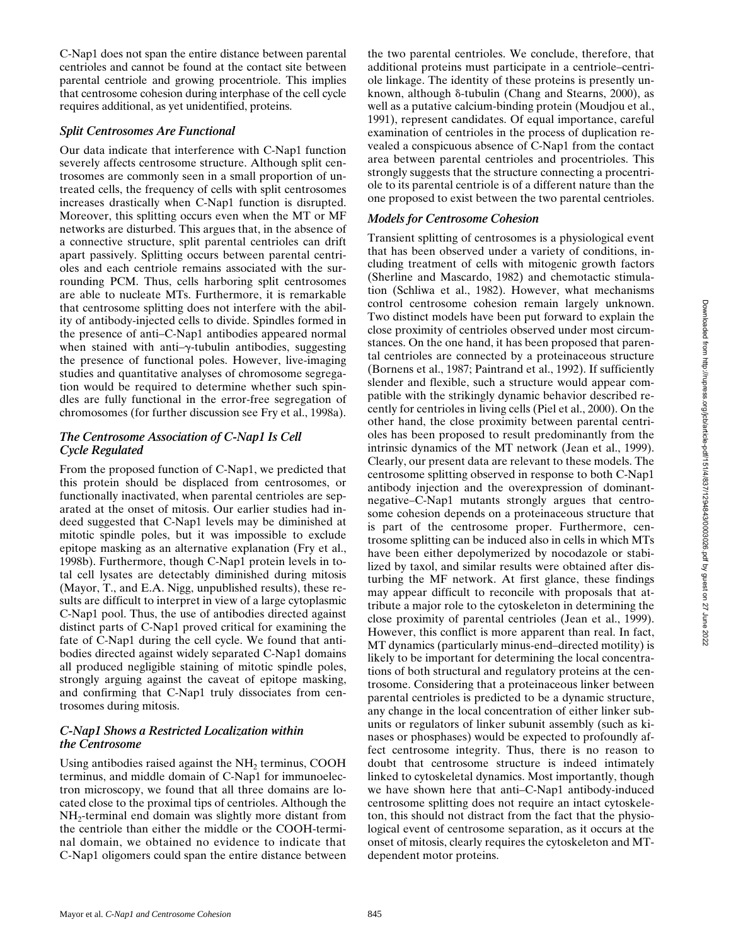C-Nap1 does not span the entire distance between parental centrioles and cannot be found at the contact site between parental centriole and growing procentriole. This implies that centrosome cohesion during interphase of the cell cycle requires additional, as yet unidentified, proteins.

### *Split Centrosomes Are Functional*

Our data indicate that interference with C-Nap1 function severely affects centrosome structure. Although split centrosomes are commonly seen in a small proportion of untreated cells, the frequency of cells with split centrosomes increases drastically when C-Nap1 function is disrupted. Moreover, this splitting occurs even when the MT or MF networks are disturbed. This argues that, in the absence of a connective structure, split parental centrioles can drift apart passively. Splitting occurs between parental centrioles and each centriole remains associated with the surrounding PCM. Thus, cells harboring split centrosomes are able to nucleate MTs. Furthermore, it is remarkable that centrosome splitting does not interfere with the ability of antibody-injected cells to divide. Spindles formed in the presence of anti–C-Nap1 antibodies appeared normal when stained with anti- $\gamma$ -tubulin antibodies, suggesting the presence of functional poles. However, live-imaging studies and quantitative analyses of chromosome segregation would be required to determine whether such spindles are fully functional in the error-free segregation of chromosomes (for further discussion see Fry et al., 1998a).

## *The Centrosome Association of C-Nap1 Is Cell Cycle Regulated*

From the proposed function of C-Nap1, we predicted that this protein should be displaced from centrosomes, or functionally inactivated, when parental centrioles are separated at the onset of mitosis. Our earlier studies had indeed suggested that C-Nap1 levels may be diminished at mitotic spindle poles, but it was impossible to exclude epitope masking as an alternative explanation (Fry et al., 1998b). Furthermore, though C-Nap1 protein levels in total cell lysates are detectably diminished during mitosis (Mayor, T., and E.A. Nigg, unpublished results), these results are difficult to interpret in view of a large cytoplasmic C-Nap1 pool. Thus, the use of antibodies directed against distinct parts of C-Nap1 proved critical for examining the fate of C-Nap1 during the cell cycle. We found that antibodies directed against widely separated C-Nap1 domains all produced negligible staining of mitotic spindle poles, strongly arguing against the caveat of epitope masking, and confirming that C-Nap1 truly dissociates from centrosomes during mitosis.

## *C-Nap1 Shows a Restricted Localization within the Centrosome*

Using antibodies raised against the  $NH<sub>2</sub>$  terminus, COOH terminus, and middle domain of C-Nap1 for immunoelectron microscopy, we found that all three domains are located close to the proximal tips of centrioles. Although the NH2-terminal end domain was slightly more distant from the centriole than either the middle or the COOH-terminal domain, we obtained no evidence to indicate that C-Nap1 oligomers could span the entire distance between the two parental centrioles. We conclude, therefore, that additional proteins must participate in a centriole–centriole linkage. The identity of these proteins is presently unknown, although  $\delta$ -tubulin (Chang and Stearns, 2000), as well as a putative calcium-binding protein (Moudjou et al., 1991), represent candidates. Of equal importance, careful examination of centrioles in the process of duplication revealed a conspicuous absence of C-Nap1 from the contact area between parental centrioles and procentrioles. This strongly suggests that the structure connecting a procentriole to its parental centriole is of a different nature than the one proposed to exist between the two parental centrioles.

# *Models for Centrosome Cohesion*

Transient splitting of centrosomes is a physiological event that has been observed under a variety of conditions, including treatment of cells with mitogenic growth factors (Sherline and Mascardo, 1982) and chemotactic stimulation (Schliwa et al., 1982). However, what mechanisms control centrosome cohesion remain largely unknown. Two distinct models have been put forward to explain the close proximity of centrioles observed under most circumstances. On the one hand, it has been proposed that parental centrioles are connected by a proteinaceous structure (Bornens et al., 1987; Paintrand et al., 1992). If sufficiently slender and flexible, such a structure would appear compatible with the strikingly dynamic behavior described recently for centrioles in living cells (Piel et al., 2000). On the other hand, the close proximity between parental centrioles has been proposed to result predominantly from the intrinsic dynamics of the MT network (Jean et al., 1999). Clearly, our present data are relevant to these models. The centrosome splitting observed in response to both C-Nap1 antibody injection and the overexpression of dominantnegative–C-Nap1 mutants strongly argues that centrosome cohesion depends on a proteinaceous structure that is part of the centrosome proper. Furthermore, centrosome splitting can be induced also in cells in which MTs have been either depolymerized by nocodazole or stabilized by taxol, and similar results were obtained after disturbing the MF network. At first glance, these findings may appear difficult to reconcile with proposals that attribute a major role to the cytoskeleton in determining the close proximity of parental centrioles (Jean et al., 1999). However, this conflict is more apparent than real. In fact, MT dynamics (particularly minus-end–directed motility) is likely to be important for determining the local concentrations of both structural and regulatory proteins at the centrosome. Considering that a proteinaceous linker between parental centrioles is predicted to be a dynamic structure, any change in the local concentration of either linker subunits or regulators of linker subunit assembly (such as kinases or phosphases) would be expected to profoundly affect centrosome integrity. Thus, there is no reason to doubt that centrosome structure is indeed intimately linked to cytoskeletal dynamics. Most importantly, though we have shown here that anti–C-Nap1 antibody-induced centrosome splitting does not require an intact cytoskeleton, this should not distract from the fact that the physiological event of centrosome separation, as it occurs at the onset of mitosis, clearly requires the cytoskeleton and MTdependent motor proteins.